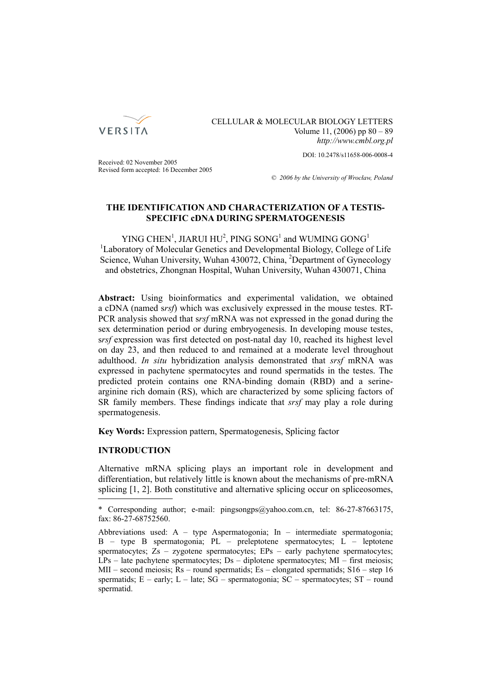

CELLULAR & MOLECULAR BIOLOGY LETTERS Volume 11,  $(2006)$  pp  $80 - 89$ *http://www.cmbl.org.pl*

DOI: 10.2478/s11658-006-0008-4

Received: 02 November 2005 Revised form accepted: 16 December 2005

*© 2006 by the University of Wrocław, Poland*

# **THE IDENTIFICATION AND CHARACTERIZATION OF A TESTIS-SPECIFIC cDNA DURING SPERMATOGENESIS**

YING CHEN<sup>1</sup>, JIARUI HU<sup>2</sup>, PING SONG<sup>1</sup> and WUMING GONG<sup>1</sup> <sup>1</sup>Laboratory of Molecular Genetics and Developmental Biology, College of Life Science, Wuhan University, Wuhan 430072, China, <sup>2</sup>Department of Gynecology and obstetrics, Zhongnan Hospital, Wuhan University, Wuhan 430071, China

**Abstract:** Using bioinformatics and experimental validation, we obtained a cDNA (named s*rsf*) which was exclusively expressed in the mouse testes. RT-PCR analysis showed that s*rsf* mRNA was not expressed in the gonad during the sex determination period or during embryogenesis. In developing mouse testes, s*rsf* expression was first detected on post-natal day 10, reached its highest level on day 23, and then reduced to and remained at a moderate level throughout adulthood. *In situ* hybridization analysis demonstrated that *srsf* mRNA was expressed in pachytene spermatocytes and round spermatids in the testes. The predicted protein contains one RNA-binding domain (RBD) and a serinearginine rich domain (RS), which are characterized by some splicing factors of SR family members. These findings indicate that *srsf* may play a role during spermatogenesis.

**Key Words:** Expression pattern, Spermatogenesis, Splicing factor

# **INTRODUCTION**

Alternative mRNA splicing plays an important role in development and differentiation, but relatively little is known about the mechanisms of pre-mRNA splicing [1, 2]. Both constitutive and alternative splicing occur on spliceosomes,

<sup>\*</sup> Corresponding author; e-mail: pingsongps@yahoo.com.cn, tel: 86-27-87663175, fax: 86-27-68752560.

Abbreviations used:  $A - type$  Aspermatogonia; In – intermediate spermatogonia;  $B$  – type B spermatogonia;  $PL$  – preleptotene spermatocytes;  $L$  – leptotene spermatocytes; Zs – zygotene spermatocytes; EPs – early pachytene spermatocytes;  $LPs$  – late pachytene spermatocytes;  $Ds$  – diplotene spermatocytes;  $MI$  – first meiosis; MII – second meiosis; Rs – round spermatids; Es – elongated spermatids; S16 – step 16 spermatids;  $E - \text{early}$ ;  $L - \text{late}$ ;  $SG - \text{sermatogonia}$ ;  $SC - \text{sermatocytes}$ ;  $ST - \text{round}$ spermatid.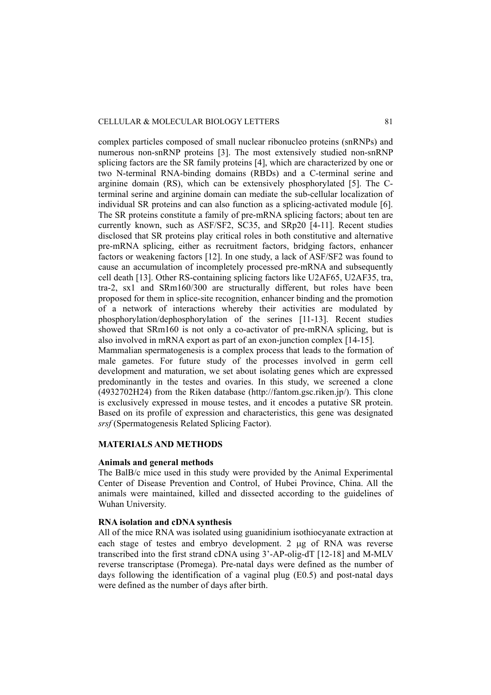complex particles composed of small nuclear ribonucleo proteins (snRNPs) and numerous non-snRNP proteins [3]. The most extensively studied non-snRNP splicing factors are the SR family proteins [4], which are characterized by one or two N-terminal RNA-binding domains (RBDs) and a C-terminal serine and arginine domain (RS), which can be extensively phosphorylated [5]. The Cterminal serine and arginine domain can mediate the sub-cellular localization of individual SR proteins and can also function as a splicing-activated module [6]. The SR proteins constitute a family of pre-mRNA splicing factors; about ten are currently known, such as ASF/SF2, SC35, and SRp20 [4-11]. Recent studies disclosed that SR proteins play critical roles in both constitutive and alternative pre-mRNA splicing, either as recruitment factors, bridging factors, enhancer factors or weakening factors [12]. In one study, a lack of ASF/SF2 was found to cause an accumulation of incompletely processed pre-mRNA and subsequently cell death [13]. Other RS-containing splicing factors like U2AF65, U2AF35, tra, tra-2, sx1 and SRm160/300 are structurally different, but roles have been proposed for them in splice-site recognition, enhancer binding and the promotion of a network of interactions whereby their activities are modulated by phosphorylation/dephosphorylation of the serines [11-13]. Recent studies showed that SRm160 is not only a co-activator of pre-mRNA splicing, but is also involved in mRNA export as part of an exon-junction complex [14-15].

Mammalian spermatogenesis is a complex process that leads to the formation of male gametes. For future study of the processes involved in germ cell development and maturation, we set about isolating genes which are expressed predominantly in the testes and ovaries. In this study, we screened a clone (4932702H24) from the Riken database (http://fantom.gsc.riken.jp/). This clone is exclusively expressed in mouse testes, and it encodes a putative SR protein. Based on its profile of expression and characteristics, this gene was designated *srsf* (Spermatogenesis Related Splicing Factor).

# **MATERIALS AND METHODS**

#### **Animals and general methods**

The BalB/c mice used in this study were provided by the Animal Experimental Center of Disease Prevention and Control, of Hubei Province, China. All the animals were maintained, killed and dissected according to the guidelines of Wuhan University.

# **RNA isolation and cDNA synthesis**

All of the mice RNA was isolated using guanidinium isothiocyanate extraction at each stage of testes and embryo development. 2 μg of RNA was reverse transcribed into the first strand cDNA using 3'-AP-olig-dT [12-18] and M-MLV reverse transcriptase (Promega). Pre-natal days were defined as the number of days following the identification of a vaginal plug (E0.5) and post-natal days were defined as the number of days after birth.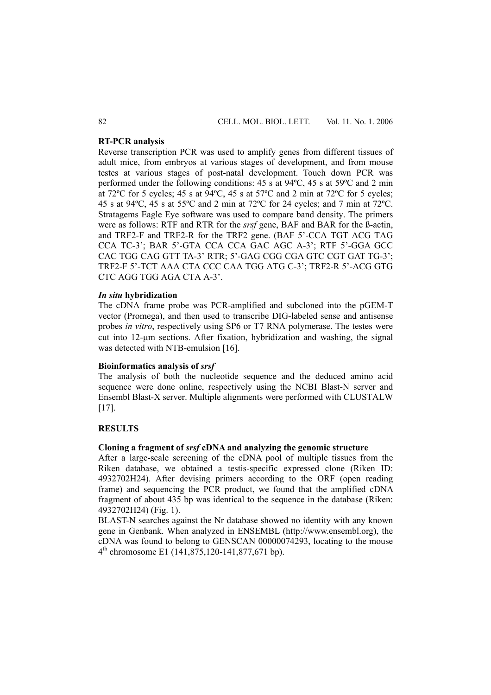# **RT-PCR analysis**

Reverse transcription PCR was used to amplify genes from different tissues of adult mice, from embryos at various stages of development, and from mouse testes at various stages of post-natal development. Touch down PCR was performed under the following conditions: 45 s at 94ºC, 45 s at 59ºC and 2 min at 72ºC for 5 cycles; 45 s at 94ºC, 45 s at 57ºC and 2 min at 72ºC for 5 cycles; 45 s at 94ºC, 45 s at 55ºC and 2 min at 72ºC for 24 cycles; and 7 min at 72ºC. Stratagems Eagle Eye software was used to compare band density. The primers were as follows: RTF and RTR for the *srsf* gene, BAF and BAR for the ß-actin, and TRF2-F and TRF2-R for the TRF2 gene. (BAF 5'-CCA TGT ACG TAG CCA TC-3'; BAR 5'-GTA CCA CCA GAC AGC A-3'; RTF 5'-GGA GCC CAC TGG CAG GTT TA-3' RTR; 5'-GAG CGG CGA GTC CGT GAT TG-3'; TRF2-F 5'-TCT AAA CTA CCC CAA TGG ATG C-3'; TRF2-R 5'-ACG GTG CTC AGG TGG AGA CTA A-3'.

#### *In situ* **hybridization**

The cDNA frame probe was PCR-amplified and subcloned into the pGEM-T vector (Promega), and then used to transcribe DIG-labeled sense and antisense probes *in vitro*, respectively using SP6 or T7 RNA polymerase. The testes were cut into 12-μm sections. After fixation, hybridization and washing, the signal was detected with NTB-emulsion [16].

### **Bioinformatics analysis of** *srsf*

The analysis of both the nucleotide sequence and the deduced amino acid sequence were done online, respectively using the NCBI Blast-N server and Ensembl Blast-X server. Multiple alignments were performed with CLUSTALW [17].

# **RESULTS**

# **Cloning a fragment of** *srsf* **cDNA and analyzing the genomic structure**

After a large-scale screening of the cDNA pool of multiple tissues from the Riken database, we obtained a testis-specific expressed clone (Riken ID: 4932702H24). After devising primers according to the ORF (open reading frame) and sequencing the PCR product, we found that the amplified cDNA fragment of about 435 bp was identical to the sequence in the database (Riken: 4932702H24) (Fig. 1).

BLAST-N searches against the Nr database showed no identity with any known gene in Genbank. When analyzed in ENSEMBL (http://www.ensembl.org), the cDNA was found to belong to GENSCAN 00000074293, locating to the mouse  $4<sup>th</sup>$  chromosome E1 (141,875,120-141,877,671 bp).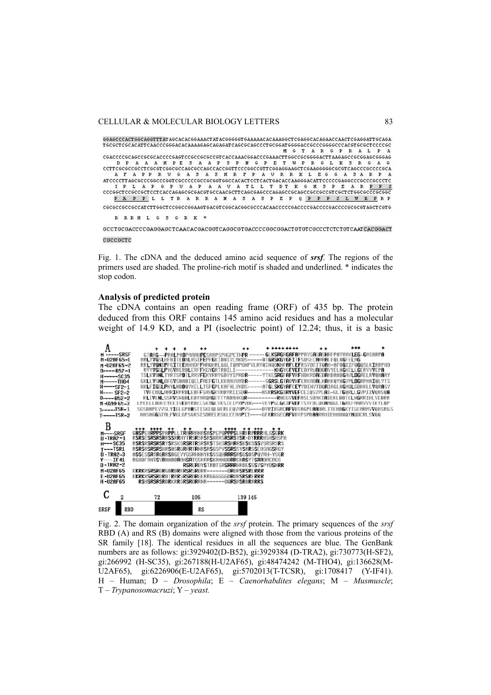#### CELLULAR & MOLECULAR BIOLOGY LETTERS 83

GGAGCCCACTGGCAGGTTTATAGCACACGGAAACTATACGGGGGTGAAAAACACAAAGGCTCGAGGCACAGAACCAACTCGAGGATTGCAGA A V APPRUGASASHRF  $\mathbf{P}$ R R K L E G  $\mathsf{G}$  $A$  $3A R$ A V A G P V A P TL L T D T  $K$   $G$   $H$   $S$ PAPPLLTRARRAMASASPEPQPPPSLWRPRP 

R R R H L G S G R K '

GCCTGCGACCCCGAGGAGCTCAACACGACGGTCAGGCGTGACCCCGGCGGACTGTGTCGCCCTCTCTGTCAATCACGGACT ceccecrc

Fig. 1. The cDNA and the deduced amino acid sequence of *srsf*. The regions of the primers used are shaded. The proline-rich motif is shaded and underlined. \* indicates the stop codon.

#### **Analysis of predicted protein**

The cDNA contains an open reading frame (ORF) of 435 bp. The protein deduced from this ORF contains 145 amino acid residues and has a molecular weight of 14.9 KD, and a PI (isoelectric point) of 12.24; thus, it is a basic

| A                                                                                                                                                                             |    |                  |                                                                                                                                                                                                                                                                                                                                                                                                                                                                                    |                                                                                                                                                       |  |  |
|-------------------------------------------------------------------------------------------------------------------------------------------------------------------------------|----|------------------|------------------------------------------------------------------------------------------------------------------------------------------------------------------------------------------------------------------------------------------------------------------------------------------------------------------------------------------------------------------------------------------------------------------------------------------------------------------------------------|-------------------------------------------------------------------------------------------------------------------------------------------------------|--|--|
| <b>H------SRSF</b>                                                                                                                                                            |    |                  |                                                                                                                                                                                                                                                                                                                                                                                                                                                                                    | GTARG--PRALPADPAAAHPESAAPSPNGPETHPR------GLKSRGAGAFAPPRYGASASHRFPAYRRKLEG-GASARPA                                                                     |  |  |
| H-U2AF65-1                                                                                                                                                                    |    |                  |                                                                                                                                                                                                                                                                                                                                                                                                                                                                                    | hRLYYGSLHFNITEDHLRGIFEPFGKIDNIYLHKDS-----DTGRSKGYGFITFSDSECARRALE0LNGFELAG                                                                            |  |  |
| H-U2AF65-2                                                                                                                                                                    |    |                  |                                                                                                                                                                                                                                                                                                                                                                                                                                                                                    | RRLYVGNIPFGITEEAHHDFFNA0HRLGGLT0APGNPYLAYOINODKNFAFLEFRSYDETT0AH-AFDGIIFOGOSLKIRRPHD                                                                  |  |  |
| $D---B52-1$                                                                                                                                                                   |    |                  |                                                                                                                                                                                                                                                                                                                                                                                                                                                                                    | RYYYGGLPYGYRERDLERFFKGYGRTRDILI--------------KNGYGFYEFEDYRUADDAYYELNGKELLGERYYYEPA                                                                    |  |  |
| $H$ -----SC35                                                                                                                                                                 |    |                  |                                                                                                                                                                                                                                                                                                                                                                                                                                                                                    | TSLKVDNLTYRTSPDTLRRVFEKYRRVGDVYIPRDR-----YTKE <b>SRG</b> FAFVRFHDKRDAEDAHDAHDGAVLDGRELRV0HARY                                                         |  |  |
| $M---TH04$                                                                                                                                                                    |    |                  |                                                                                                                                                                                                                                                                                                                                                                                                                                                                                    | GKLLYSNLDFGYSDADIOELFAEFGTLKKAAYHYDR------SGRSLGTADYHFERKADALKAMKOYNGYPLDGRPMNIOLYTS                                                                  |  |  |
| $H$ ----SF2-1                                                                                                                                                                 |    |                  |                                                                                                                                                                                                                                                                                                                                                                                                                                                                                    | HKLFIGGLPNYLNDD0VKELLTSFGPLKAFNLVKDS-----ATGL <b>SKGYAF</b> CEYVDINVTD0AIAGLNGH0LGDKKLLV0RASV                                                         |  |  |
| $H$ ---- SF2-2                                                                                                                                                                |    |                  |                                                                                                                                                                                                                                                                                                                                                                                                                                                                                    | TYFCMQLAARIRPRDLEDFFSAYGKYRDYRIISD <b>R-----</b> NSR <b>RSKGIAYYEF</b> CEIQSYPL <b>A</b> I-GLT <b>G</b> QRLLGYPIIYQASQ <b>A</b>                       |  |  |
| $D$ -----B52-2                                                                                                                                                                |    |                  |                                                                                                                                                                                                                                                                                                                                                                                                                                                                                    | RLIVENLSSRVSHODLKDYHROAGEYTYADAHKOR-----------RNEGYVEFASLSDHKTAIEKLDDTELNGRRIHLYEDRR                                                                  |  |  |
| M-U2RF65-3                                                                                                                                                                    |    |                  |                                                                                                                                                                                                                                                                                                                                                                                                                                                                                    | LPEELLDDEEYEEIYEDYRDECSKYGLYKSIEIPRPYDG---VEYPGCGKIFVEFTSYFDCQKAHQGLTGRKFANRYYYTKYCDP                                                                 |  |  |
| $T$ -----TSR-1                                                                                                                                                                |    |                  |                                                                                                                                                                                                                                                                                                                                                                                                                                                                                    | SGSDNPEVVSLY <b>I</b> GLGPA <b>A</b> STISKEQLWERLEQVA <b>P</b> VS----DVR <b>I</b> RGRC <b>AFV</b> DVAGPE <b>AA</b> DRLITEHD <b>G</b> KYIGEARMYVOHSRGS |  |  |
| $T$ -----TSR-2                                                                                                                                                                |    |                  |                                                                                                                                                                                                                                                                                                                                                                                                                                                                                    | NNSAGGGTALFVGLGPSGRSISDRELRSKLEEAAPII----GFRRRGECAFVDYPSPAAARRHIEHHHNQYMQDCRLSVQQ                                                                     |  |  |
| B<br>$H$ ----SRSF<br>$D - TRR2 - 1$<br>$H$ --- $SC35$<br>$T---TSR1$<br>$D - TRR2-3$<br>$Y$ ---IF41<br>$D - TRR2 - 2$<br><b>H-U2AF65</b><br><b>E-U2AF65</b><br><b>H-U2AF65</b> |    |                  | GHSPEARPPSPAPPLLTRARRANASASPEPOPPPSLHRFRPRRRHLGSGRK<br>RSRSESRSRSRRSSRRHYTRSRSRSHRRSRSRSYSR-DYRRRHSHSHSPH<br>RSRSRSRSRSRYSRSKSRSRTRSRSRSTSKSRSARRSKSKSSSYSRSRSRS<br>RSRSRSRSRSHRSNSRGRRRTRNRSRSGSPVSSRSSYSRRSSFASAGSRGY<br>ASSESSRTRORRSDGEYYGSRHNNYKSSSOHRRRSRSGSDSPOVRH-YSGR<br>RGHDFRNTSYRNHDDRANSRTSSKRRSKRHNDDRRSNRSYTSRRDRERGS<br><b>RSRERDYSTRDTSRSRRRHRDESSSVSPYDSNRR</b><br>KKRKRSRSRDRGDRDRKRSRSRDRR--------DRDRSRSRERRR<br>KKRKRSRSRDRDTRRRSRSRDRGERRGGGGGGDRDRSRSRERRR |                                                                                                                                                       |  |  |
| $\overline{2}$<br><b>SRSF</b><br><b>RBD</b>                                                                                                                                   | 72 | 105<br><b>RS</b> | RSHSRSRSRDRKRRSRSRDRRNR------DORSASRDRRRRS<br>139 145                                                                                                                                                                                                                                                                                                                                                                                                                              |                                                                                                                                                       |  |  |

Fig. 2. The domain organization of the *srsf* protein. The primary sequences of the *srsf* RBD (A) and RS (B) domains were aligned with those from the various proteins of the SR family [18]. The identical residues in all the sequences are blue. The GenBank numbers are as follows: gi:3929402(D-B52), gi:3929384 (D-TRA2), gi:730773(H-SF2), gi:266992 (H-SC35), gi:267188(H-U2AF65), gi:48474242 (M-THO4), gi:136628(M-U2AF65), gi:6226906(E-U2AF65), gi:5702013(T-TCSR), gi:1708417 (Y-IF41). H – Human; D – *Drosophila*; E – *Caenorhabdites elegans*; M – *Musmuscle*; T – *Trypanosomacruzi*; Y – *yeast.*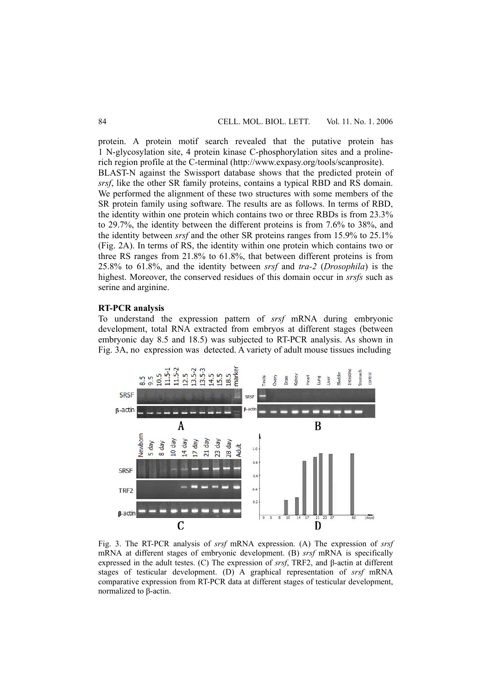protein. A protein motif search revealed that the putative protein has 1 N-glycosylation site, 4 protein kinase C-phosphorylation sites and a prolinerich region profile at the C-terminal (http://www.expasy.org/tools/scanprosite).

BLAST-N against the Swissport database shows that the predicted protein of *srsf*, like the other SR family proteins, contains a typical RBD and RS domain. We performed the alignment of these two structures with some members of the SR protein family using software. The results are as follows. In terms of RBD, the identity within one protein which contains two or three RBDs is from 23.3% to 29.7%, the identity between the different proteins is from 7.6% to 38%, and the identity between *srsf* and the other SR proteins ranges from 15.9% to 25.1% (Fig. 2A). In terms of RS, the identity within one protein which contains two or three RS ranges from 21.8% to 61.8%, that between different proteins is from 25.8% to 61.8%, and the identity between *srsf* and *tra-2* (*Drosophila*) is the highest. Moreover, the conserved residues of this domain occur in *srsfs* such as serine and arginine.

# **RT-PCR analysis**

To understand the expression pattern of *srsf* mRNA during embryonic development, total RNA extracted from embryos at different stages (between embryonic day 8.5 and 18.5) was subjected to RT-PCR analysis. As shown in Fig. 3A, no expression was detected. A variety of adult mouse tissues including



Fig. 3. The RT-PCR analysis of *srsf* mRNA expression. (A) The expression of *srsf* mRNA at different stages of embryonic development. (B) *srsf* mRNA is specifically expressed in the adult testes. (C) The expression of *srsf*, TRF2, and β-actin at different stages of testicular development. (D) A graphical representation of *srsf* mRNA comparative expression from RT-PCR data at different stages of testicular development, normalized to β-actin.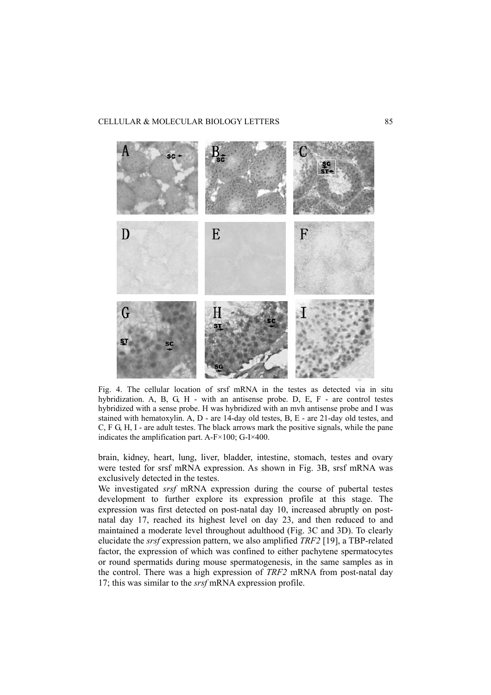

Fig. 4. The cellular location of srsf mRNA in the testes as detected via in situ hybridization. A, B, G, H - with an antisense probe. D, E, F - are control testes hybridized with a sense probe. H was hybridized with an mvh antisense probe and I was stained with hematoxylin. A, D - are 14-day old testes, B, E - are 21-day old testes, and C, F G, H, I - are adult testes. The black arrows mark the positive signals, while the pane indicates the amplification part. A-F×100; G-I×400.

brain, kidney, heart, lung, liver, bladder, intestine, stomach, testes and ovary were tested for srsf mRNA expression. As shown in Fig. 3B, srsf mRNA was exclusively detected in the testes.

We investigated *srsf* mRNA expression during the course of pubertal testes development to further explore its expression profile at this stage. The expression was first detected on post-natal day 10, increased abruptly on postnatal day 17, reached its highest level on day 23, and then reduced to and maintained a moderate level throughout adulthood (Fig. 3C and 3D). To clearly elucidate the *srsf* expression pattern, we also amplified *TRF2* [19], a TBP-related factor, the expression of which was confined to either pachytene spermatocytes or round spermatids during mouse spermatogenesis, in the same samples as in the control. There was a high expression of *TRF2* mRNA from post-natal day 17; this was similar to the *srsf* mRNA expression profile.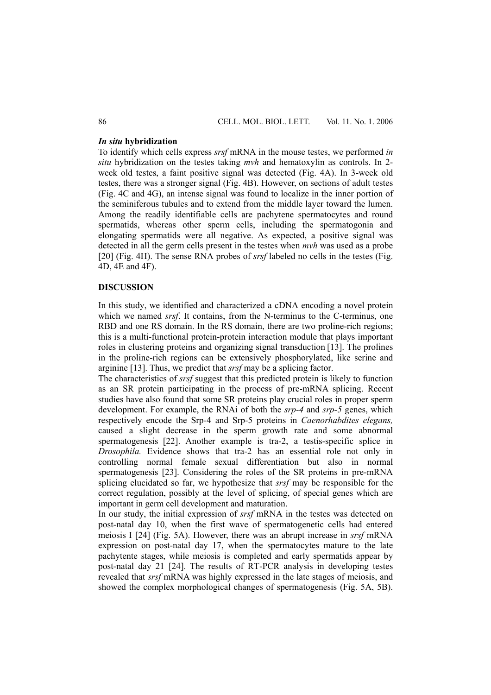# *In situ* **hybridization**

To identify which cells express *srsf* mRNA in the mouse testes, we performed *in situ* hybridization on the testes taking *mvh* and hematoxylin as controls. In 2 week old testes, a faint positive signal was detected (Fig. 4A). In 3-week old testes, there was a stronger signal (Fig. 4B). However, on sections of adult testes (Fig. 4C and 4G), an intense signal was found to localize in the inner portion of the seminiferous tubules and to extend from the middle layer toward the lumen. Among the readily identifiable cells are pachytene spermatocytes and round spermatids, whereas other sperm cells, including the spermatogonia and elongating spermatids were all negative. As expected, a positive signal was detected in all the germ cells present in the testes when *mvh* was used as a probe [20] (Fig. 4H). The sense RNA probes of *srsf* labeled no cells in the testes (Fig. 4D, 4E and 4F).

# **DISCUSSION**

In this study, we identified and characterized a cDNA encoding a novel protein which we named *srsf*. It contains, from the N-terminus to the C-terminus, one RBD and one RS domain. In the RS domain, there are two proline-rich regions; this is a multi-functional protein-protein interaction module that plays important roles in clustering proteins and organizing signal transduction [13]. The prolines in the proline-rich regions can be extensively phosphorylated, like serine and arginine [13]. Thus, we predict that *srsf* may be a splicing factor.

The characteristics of *srsf* suggest that this predicted protein is likely to function as an SR protein participating in the process of pre-mRNA splicing. Recent studies have also found that some SR proteins play crucial roles in proper sperm development. For example, the RNAi of both the *srp-4* and *srp-5* genes, which respectively encode the Srp-4 and Srp-5 proteins in *Caenorhabdites elegans,* caused a slight decrease in the sperm growth rate and some abnormal spermatogenesis [22]. Another example is tra-2, a testis-specific splice in *Drosophila.* Evidence shows that tra-2 has an essential role not only in controlling normal female sexual differentiation but also in normal spermatogenesis [23]. Considering the roles of the SR proteins in pre-mRNA splicing elucidated so far, we hypothesize that *srsf* may be responsible for the correct regulation, possibly at the level of splicing, of special genes which are important in germ cell development and maturation.

In our study, the initial expression of *srsf* mRNA in the testes was detected on post-natal day 10, when the first wave of spermatogenetic cells had entered meiosis I [24] (Fig. 5A). However, there was an abrupt increase in *srsf* mRNA expression on post-natal day 17, when the spermatocytes mature to the late pachytente stages, while meiosis is completed and early spermatids appear by post-natal day 21 [24]. The results of RT-PCR analysis in developing testes revealed that *srsf* mRNA was highly expressed in the late stages of meiosis, and showed the complex morphological changes of spermatogenesis (Fig. 5A, 5B).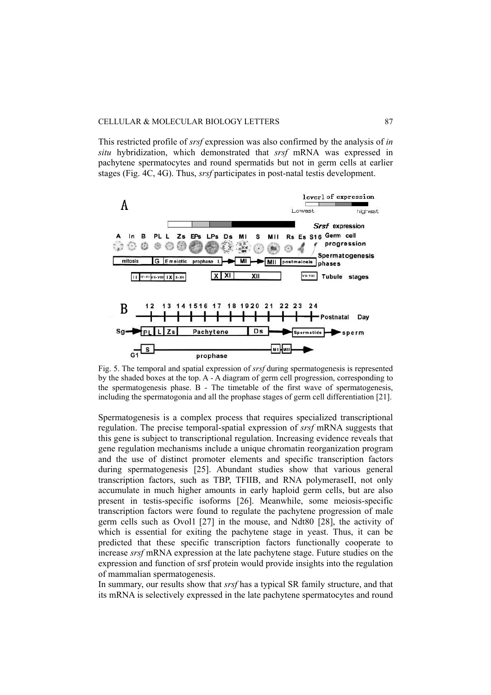This restricted profile of *srsf* expression was also confirmed by the analysis of *in situ* hybridization, which demonstrated that *srsf* mRNA was expressed in pachytene spermatocytes and round spermatids but not in germ cells at earlier stages (Fig. 4C, 4G). Thus, *srsf* participates in post-natal testis development.



Fig. 5. The temporal and spatial expression of *srsf* during spermatogenesis is represented by the shaded boxes at the top. A - A diagram of germ cell progression, corresponding to the spermatogenesis phase. B - The timetable of the first wave of spermatogenesis, including the spermatogonia and all the prophase stages of germ cell differentiation [21].

Spermatogenesis is a complex process that requires specialized transcriptional regulation. The precise temporal-spatial expression of *srsf* mRNA suggests that this gene is subject to transcriptional regulation. Increasing evidence reveals that gene regulation mechanisms include a unique chromatin reorganization program and the use of distinct promoter elements and specific transcription factors during spermatogenesis [25]. Abundant studies show that various general transcription factors, such as TBP, TFIIB, and RNA polymeraseII, not only accumulate in much higher amounts in early haploid germ cells, but are also present in testis-specific isoforms [26]. Meanwhile, some meiosis-specific transcription factors were found to regulate the pachytene progression of male germ cells such as Ovol1 [27] in the mouse, and Ndt80 [28], the activity of which is essential for exiting the pachytene stage in yeast. Thus, it can be predicted that these specific transcription factors functionally cooperate to increase *srsf* mRNA expression at the late pachytene stage. Future studies on the expression and function of srsf protein would provide insights into the regulation of mammalian spermatogenesis.

In summary, our results show that *srsf* has a typical SR family structure, and that its mRNA is selectively expressed in the late pachytene spermatocytes and round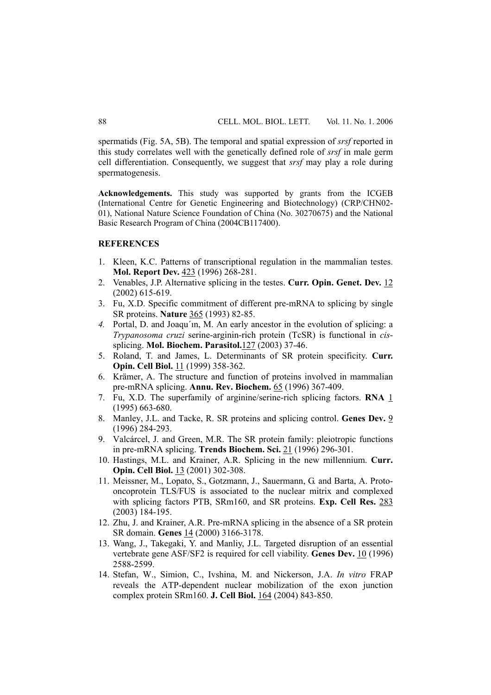spermatids (Fig. 5A, 5B). The temporal and spatial expression of *srsf* reported in this study correlates well with the genetically defined role of *srsf* in male germ cell differentiation. Consequently, we suggest that *srsf* may play a role during spermatogenesis.

**Acknowledgements.** This study was supported by grants from the ICGEB (International Centre for Genetic Engineering and Biotechnology) (CRP/CHN02- 01), National Nature Science Foundation of China (No. 30270675) and the National Basic Research Program of China (2004CB117400).

## **REFERENCES**

- 1. Kleen, K.C. Patterns of transcriptional regulation in the mammalian testes. **Mol. Report Dev.** 423 (1996) 268-281.
- 2. Venables, J.P. Alternative splicing in the testes. **Curr. Opin. Genet. Dev.** 12 (2002) 615-619.
- 3. Fu, X.D. Specific commitment of different pre-mRNA to splicing by single SR proteins. **Nature** 365 (1993) 82-85.
- *4.* Portal, D. and Joaqu´ın, M. An early ancestor in the evolution of splicing: a *Trypanosoma cruzi* serine-arginin-rich protein (TcSR) is functional in *cis*splicing. **Mol. Biochem. Parasitol.**127 (2003) 37-46.
- 5. Roland, T. and James, L. Determinants of SR protein specificity. **Curr. Opin. Cell Biol.** 11 (1999) 358-362.
- 6. Krämer, A. The structure and function of proteins involved in mammalian pre-mRNA splicing. **Annu. Rev. Biochem.** 65 (1996) 367-409.
- 7. Fu, X.D. The superfamily of arginine/serine-rich splicing factors. **RNA** 1 (1995) 663-680.
- 8. Manley, J.L. and Tacke, R. SR proteins and splicing control. **Genes Dev.** 9 (1996) 284-293.
- 9. Valcárcel, J. and Green, M.R. The SR protein family: pleiotropic functions in pre-mRNA splicing. **Trends Biochem. Sci.** 21 (1996) 296-301.
- 10. Hastings, M.L. and Krainer, A.R. Splicing in the new millennium. **Curr. Opin. Cell Biol.** 13 (2001) 302-308.
- 11. Meissner, M., Lopato, S., Gotzmann, J., Sauermann, G. and Barta, A. Protooncoprotein TLS/FUS is associated to the nuclear mitrix and complexed with splicing factors PTB, SRm160, and SR proteins. **Exp. Cell Res.** 283 (2003) 184-195.
- 12. Zhu, J. and Krainer, A.R. Pre-mRNA splicing in the absence of a SR protein SR domain. **Genes** 14 (2000) 3166-3178.
- 13. Wang, J., Takegaki, Y. and Manliy, J.L. Targeted disruption of an essential vertebrate gene ASF/SF2 is required for cell viability. **Genes Dev.** 10 (1996) 2588-2599.
- 14. Stefan, W., Simion, C., Ivshina, M. and Nickerson, J.A. *In vitro* FRAP reveals the ATP-dependent nuclear mobilization of the exon junction complex protein SRm160. **J. Cell Biol.** 164 (2004) 843-850.